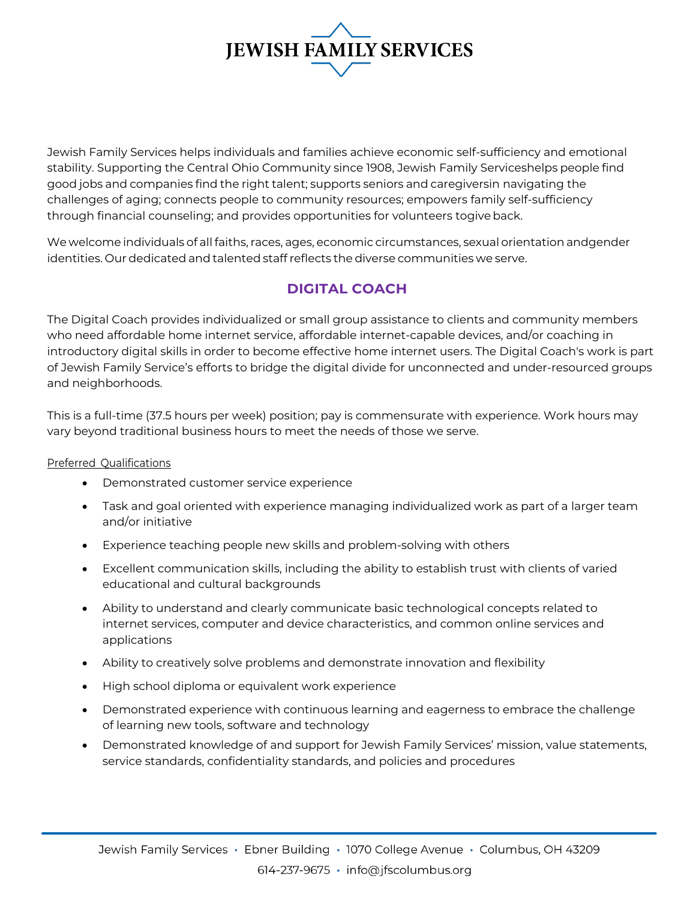

Jewish Family Services helps individuals and families achieve economic self-sufficiency and emotional stability. Supporting the Central Ohio Community since 1908, Jewish Family Serviceshelps people find good jobs and companies find the right talent; supports seniors and caregiversin navigating the challenges of aging; connects people to community resources; empowers family self-sufficiency through financial counseling; and provides opportunities for volunteers togiveback.

We welcome individuals of all faiths, races, ages, economic circumstances, sexual orientation andgender identities. Our dedicated and talented staff reflects the diverse communities we serve.

# **DIGITAL COACH**

The Digital Coach provides individualized or small group assistance to clients and community members who need affordable home internet service, affordable internet-capable devices, and/or coaching in introductory digital skills in order to become effective home internet users. The Digital Coach's work is part of Jewish Family Service's efforts to bridge the digital divide for unconnected and under-resourced groups and neighborhoods.

This is a full-time (37.5 hours per week) position; pay is commensurate with experience. Work hours may vary beyond traditional business hours to meet the needs of those we serve.

#### Preferred Qualifications

- Demonstrated customer service experience
- Task and goal oriented with experience managing individualized work as part of a larger team and/or initiative
- Experience teaching people new skills and problem-solving with others
- Excellent communication skills, including the ability to establish trust with clients of varied educational and cultural backgrounds
- Ability to understand and clearly communicate basic technological concepts related to internet services, computer and device characteristics, and common online services and applications
- Ability to creatively solve problems and demonstrate innovation and flexibility
- High school diploma or equivalent work experience
- Demonstrated experience with continuous learning and eagerness to embrace the challenge of learning new tools, software and technology
- Demonstrated knowledge of and support for Jewish Family Services' mission, value statements, service standards, confidentiality standards, and policies and procedures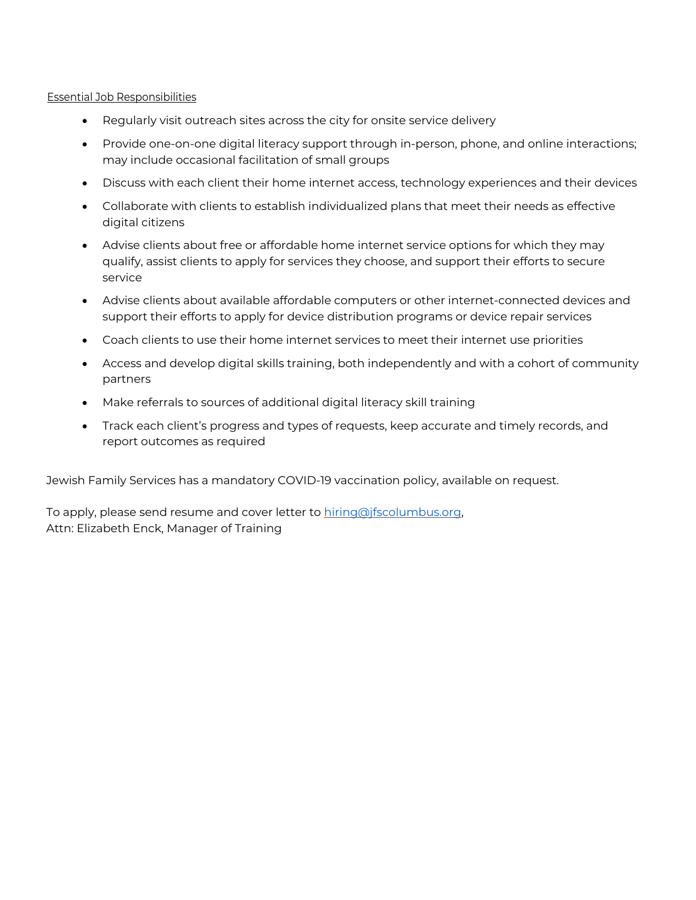#### Essential Job Responsibilities

- Regularly visit outreach sites across the city for onsite service delivery
- Provide one-on-one digital literacy support through in-person, phone, and online interactions; may include occasional facilitation of small groups
- Discuss with each client their home internet access, technology experiences and their devices
- Collaborate with clients to establish individualized plans that meet their needs as effective digital citizens
- Advise clients about free or affordable home internet service options for which they may qualify, assist clients to apply for services they choose, and support their efforts to secure service
- Advise clients about available affordable computers or other internet-connected devices and support their efforts to apply for device distribution programs or device repair services
- Coach clients to use their home internet services to meet their internet use priorities
- Access and develop digital skills training, both independently and with a cohort of community partners
- Make referrals to sources of additional digital literacy skill training
- Track each client's progress and types of requests, keep accurate and timely records, and report outcomes as required

Jewish Family Services has a mandatory COVID-19 vaccination policy, available on request.

To apply, please send resume and cover letter to hiring@jfscolumbus.org, Attn: Elizabeth Enck, Manager of Training